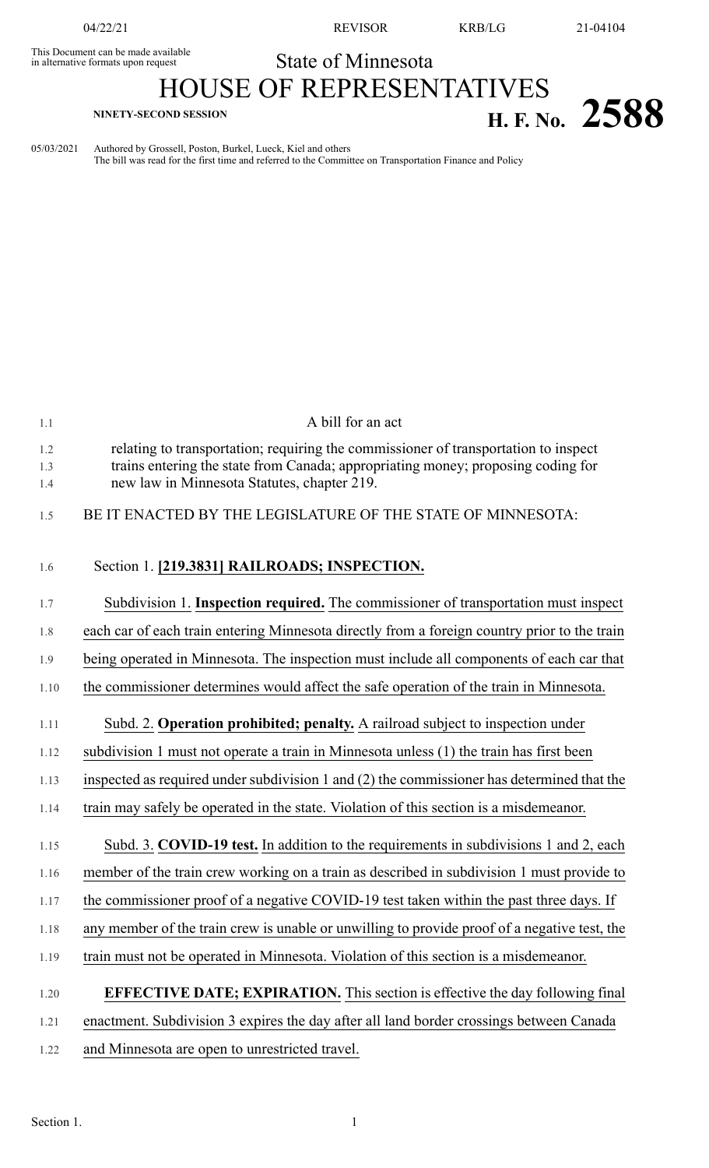This Document can be made available<br>in alternative formats upon request

04/22/21 REVISOR KRB/LG 21-04104

## State of Minnesota

## HOUSE OF REPRESENTATIVES **H. F. NO.** 2588

05/03/2021 Authored by Grossell, Poston, Burkel, Lueck, Kiel and others The bill was read for the first time and referred to the Committee on Transportation Finance and Policy

| 1.1               | A bill for an act                                                                                                                                                                                                      |
|-------------------|------------------------------------------------------------------------------------------------------------------------------------------------------------------------------------------------------------------------|
| 1.2<br>1.3<br>1.4 | relating to transportation; requiring the commissioner of transportation to inspect<br>trains entering the state from Canada; appropriating money; proposing coding for<br>new law in Minnesota Statutes, chapter 219. |
| 1.5               | BE IT ENACTED BY THE LEGISLATURE OF THE STATE OF MINNESOTA:                                                                                                                                                            |
| 1.6               | Section 1. [219.3831] RAILROADS; INSPECTION.                                                                                                                                                                           |
| 1.7               | Subdivision 1. Inspection required. The commissioner of transportation must inspect                                                                                                                                    |
| 1.8               | each car of each train entering Minnesota directly from a foreign country prior to the train                                                                                                                           |
| 1.9               | being operated in Minnesota. The inspection must include all components of each car that                                                                                                                               |
| 1.10              | the commissioner determines would affect the safe operation of the train in Minnesota.                                                                                                                                 |
| 1.11              | Subd. 2. Operation prohibited; penalty. A railroad subject to inspection under                                                                                                                                         |
| 1.12              | subdivision 1 must not operate a train in Minnesota unless (1) the train has first been                                                                                                                                |
| 1.13              | inspected as required under subdivision 1 and $(2)$ the commissioner has determined that the                                                                                                                           |
| 1.14              | train may safely be operated in the state. Violation of this section is a misdemeanor.                                                                                                                                 |
| 1.15              | Subd. 3. COVID-19 test. In addition to the requirements in subdivisions 1 and 2, each                                                                                                                                  |
| 1.16              | member of the train crew working on a train as described in subdivision 1 must provide to                                                                                                                              |
| 1.17              | the commissioner proof of a negative COVID-19 test taken within the past three days. If                                                                                                                                |
| 1.18              | any member of the train crew is unable or unwilling to provide proof of a negative test, the                                                                                                                           |
| 1.19              | train must not be operated in Minnesota. Violation of this section is a misdemeanor.                                                                                                                                   |
| 1.20              | <b>EFFECTIVE DATE; EXPIRATION.</b> This section is effective the day following final                                                                                                                                   |
| 1.21              | enactment. Subdivision 3 expires the day after all land border crossings between Canada                                                                                                                                |
| 1.22              | and Minnesota are open to unrestricted travel.                                                                                                                                                                         |